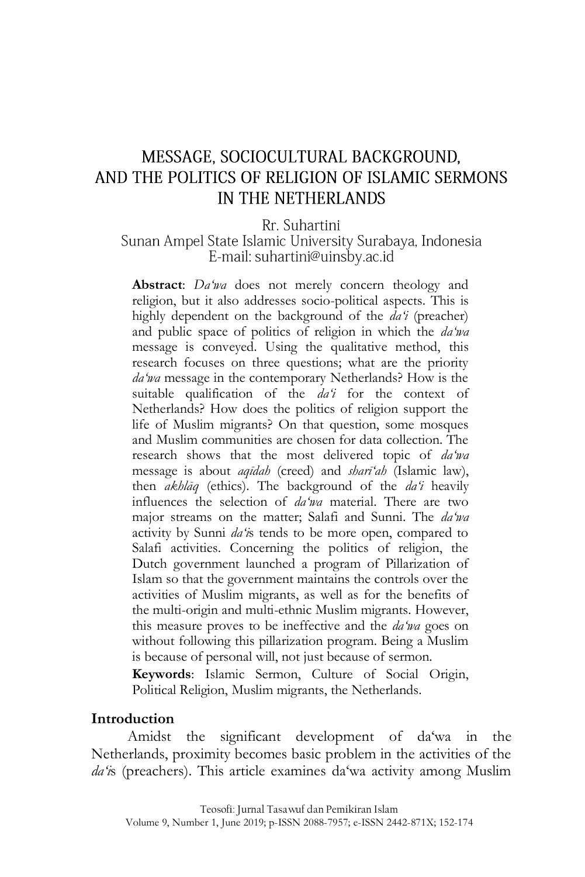# MESSAGE, SOCIOCULTURAL BACKGROUND, AND THE POLITICS OF RELIGION OF ISLAMIC SERMONS IN THE NETHERLANDS

Rr. Suhartini

### Sunan Ampel State Islamic University Surabaya, Indonesia E-mail: suhartini@uinsby.ac.id

**Abstract**: *Da'wa* does not merely concern theology and religion, but it also addresses socio-political aspects. This is highly dependent on the background of the *da'i* (preacher) and public space of politics of religion in which the *da'wa* message is conveyed. Using the qualitative method, this research focuses on three questions; what are the priority *da'wa* message in the contemporary Netherlands? How is the suitable qualification of the *da'i* for the context of Netherlands? How does the politics of religion support the life of Muslim migrants? On that question, some mosques and Muslim communities are chosen for data collection. The research shows that the most delivered topic of *da'wa* message is about *aqīdah* (creed) and *sharī'ah* (Islamic law), then *akhlāq* (ethics). The background of the *da'i* heavily influences the selection of *da'wa* material. There are two major streams on the matter; Salafi and Sunni. The *da'wa* activity by Sunni *da'i*s tends to be more open, compared to Salafi activities. Concerning the politics of religion, the Dutch government launched a program of Pillarization of Islam so that the government maintains the controls over the activities of Muslim migrants, as well as for the benefits of the multi-origin and multi-ethnic Muslim migrants. However, this measure proves to be ineffective and the *da'wa* goes on without following this pillarization program. Being a Muslim is because of personal will, not just because of sermon.

**Keywords**: Islamic Sermon, Culture of Social Origin, Political Religion, Muslim migrants, the Netherlands.

#### **Introduction**

Amidst the significant development of da"wa in the Netherlands, proximity becomes basic problem in the activities of the da'is (preachers). This article examines da'wa activity among Muslim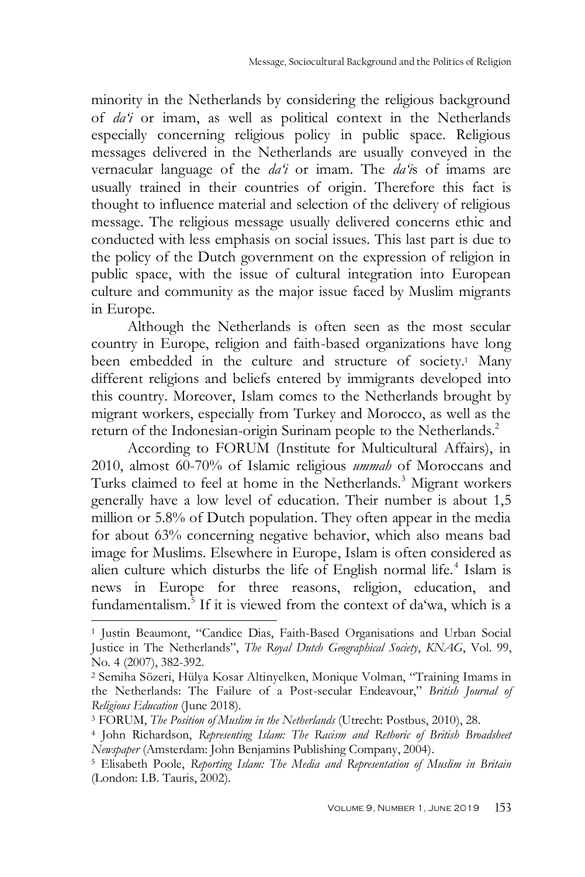minority in the Netherlands by considering the religious background of *da'i* or imam, as well as political context in the Netherlands especially concerning religious policy in public space. Religious messages delivered in the Netherlands are usually conveyed in the vernacular language of the *da'i* or imam. The *da'i*s of imams are usually trained in their countries of origin. Therefore this fact is thought to influence material and selection of the delivery of religious message. The religious message usually delivered concerns ethic and conducted with less emphasis on social issues. This last part is due to the policy of the Dutch government on the expression of religion in public space, with the issue of cultural integration into European culture and community as the major issue faced by Muslim migrants in Europe.

Although the Netherlands is often seen as the most secular country in Europe, religion and faith-based organizations have long been embedded in the culture and structure of society.<sup>1</sup> Many different religions and beliefs entered by immigrants developed into this country. Moreover, Islam comes to the Netherlands brought by migrant workers, especially from Turkey and Morocco, as well as the return of the Indonesian-origin Surinam people to the Netherlands.<sup>2</sup>

According to FORUM (Institute for Multicultural Affairs), in 2010, almost 60-70% of Islamic religious *ummah* of Moroccans and Turks claimed to feel at home in the Netherlands.<sup>3</sup> Migrant workers generally have a low level of education. Their number is about 1,5 million or 5.8% of Dutch population. They often appear in the media for about 63% concerning negative behavior, which also means bad image for Muslims. Elsewhere in Europe, Islam is often considered as alien culture which disturbs the life of English normal life.<sup>4</sup> Islam is news in Europe for three reasons, religion, education, and fundamentalism.<sup>5</sup> If it is viewed from the context of da'wa, which is a

<sup>1</sup> Justin Beaumont, "Candice Dias, Faith-Based Organisations and Urban Social Justice in The Netherlands", *The Royal Dutch Geographical Society*, *KNAG*, Vol. 99, No. 4 (2007), 382-392.

<sup>2</sup> Semiha Sözeri, Hülya Kosar Altinyelken, Monique Volman, "Training Imams in the Netherlands: The Failure of a Post-secular Endeavour," *British Journal of Religious Education* (June 2018).

<sup>3</sup> FORUM, *The Position of Muslim in the Netherlands* (Utrecht: Postbus, 2010), 28.

<sup>4</sup> John Richardson, *Representing Islam: The Racism and Rethoric of British Broadsheet Newspaper* (Amsterdam: John Benjamins Publishing Company, 2004).

<sup>5</sup> Elisabeth Poole, *Reporting Islam: The Media and Representation of Muslim in Britain* (London: I.B. Tauris, 2002).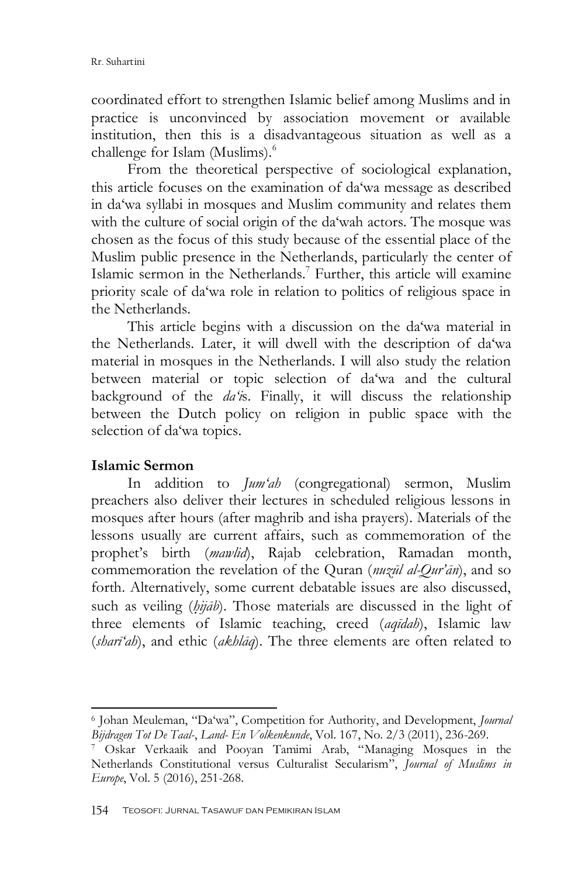coordinated effort to strengthen Islamic belief among Muslims and in practice is unconvinced by association movement or available institution, then this is a disadvantageous situation as well as a challenge for Islam (Muslims).<sup>6</sup>

From the theoretical perspective of sociological explanation, this article focuses on the examination of da"wa message as described in da"wa syllabi in mosques and Muslim community and relates them with the culture of social origin of the da'wah actors. The mosque was chosen as the focus of this study because of the essential place of the Muslim public presence in the Netherlands, particularly the center of Islamic sermon in the Netherlands.<sup>7</sup> Further, this article will examine priority scale of da"wa role in relation to politics of religious space in the Netherlands.

This article begins with a discussion on the da"wa material in the Netherlands. Later, it will dwell with the description of da'wa material in mosques in the Netherlands. I will also study the relation between material or topic selection of da"wa and the cultural background of the *da'i*s. Finally, it will discuss the relationship between the Dutch policy on religion in public space with the selection of da'wa topics.

### **Islamic Sermon**

-

In addition to *Jum'ah* (congregational) sermon, Muslim preachers also deliver their lectures in scheduled religious lessons in mosques after hours (after maghrib and isha prayers). Materials of the lessons usually are current affairs, such as commemoration of the prophet"s birth (*mawlid*), Rajab celebration, Ramadan month, commemoration the revelation of the Quran (*nuzūl al-Qur'ān*), and so forth. Alternatively, some current debatable issues are also discussed, such as veiling (*hijab*). Those materials are discussed in the light of three elements of Islamic teaching, creed (*aqīdah*), Islamic law (*sharī'ah*), and ethic (*akhlāq*). The three elements are often related to

<sup>6</sup> Johan Meuleman, "Da"wa", Competition for Authority, and Development, *Journal Bijdragen Tot De Taal-*, *Land- En Volkenkunde*, Vol. 167, No. 2/3 (2011), 236-269.

<sup>7</sup> Oskar Verkaaik and Pooyan Tamimi Arab, "Managing Mosques in the Netherlands Constitutional versus Culturalist Secularism", *Journal of Muslims in Europe*, Vol. 5 (2016), 251-268.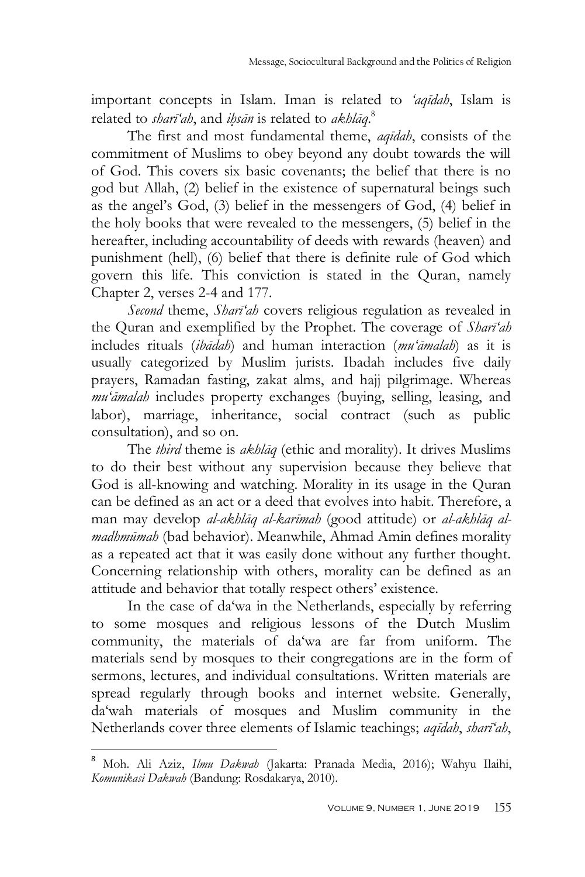important concepts in Islam. Iman is related to *'aqīdah*, Islam is related to *sharī'ah*, and *ih*}*sān* is related to *akhlāq*. 8

The first and most fundamental theme, *aqīdah*, consists of the commitment of Muslims to obey beyond any doubt towards the will of God. This covers six basic covenants; the belief that there is no god but Allah, (2) belief in the existence of supernatural beings such as the angel"s God, (3) belief in the messengers of God, (4) belief in the holy books that were revealed to the messengers, (5) belief in the hereafter, including accountability of deeds with rewards (heaven) and punishment (hell), (6) belief that there is definite rule of God which govern this life. This conviction is stated in the Quran, namely Chapter 2, verses 2-4 and 177.

*Second* theme, *Sharī'ah* covers religious regulation as revealed in the Quran and exemplified by the Prophet. The coverage of *Sharī'ah* includes rituals (*ibādah*) and human interaction (*mu'āmalah*) as it is usually categorized by Muslim jurists. Ibadah includes five daily prayers, Ramadan fasting, zakat alms, and hajj pilgrimage. Whereas *mu'āmalah* includes property exchanges (buying, selling, leasing, and labor), marriage, inheritance, social contract (such as public consultation), and so on.

The *third* theme is *akhlāq* (ethic and morality). It drives Muslims to do their best without any supervision because they believe that God is all-knowing and watching. Morality in its usage in the Quran can be defined as an act or a deed that evolves into habit. Therefore, a man may develop *al-akhlāq al-karīmah* (good attitude) or *al-akhlāq almadhmūmah* (bad behavior). Meanwhile, Ahmad Amin defines morality as a repeated act that it was easily done without any further thought. Concerning relationship with others, morality can be defined as an attitude and behavior that totally respect others' existence.

In the case of da"wa in the Netherlands, especially by referring to some mosques and religious lessons of the Dutch Muslim community, the materials of da"wa are far from uniform. The materials send by mosques to their congregations are in the form of sermons, lectures, and individual consultations. Written materials are spread regularly through books and internet website. Generally, da"wah materials of mosques and Muslim community in the Netherlands cover three elements of Islamic teachings; *aqīdah*, *sharī'ah*,

<sup>8</sup> Moh. Ali Aziz, *Ilmu Dakwah* (Jakarta: Pranada Media, 2016); Wahyu Ilaihi, *Komunikasi Dakwah* (Bandung: Rosdakarya, 2010).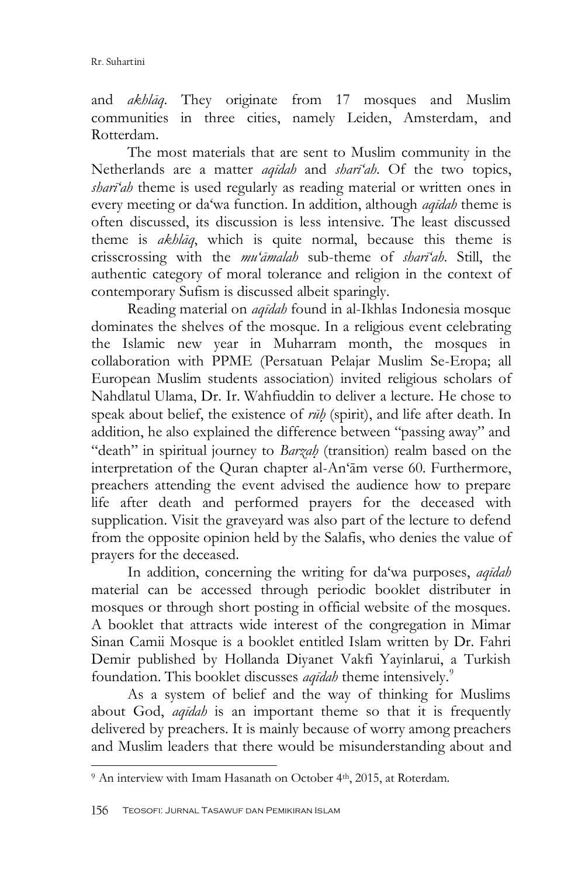and *akhlāq*. They originate from 17 mosques and Muslim communities in three cities, namely Leiden, Amsterdam, and Rotterdam.

The most materials that are sent to Muslim community in the Netherlands are a matter *aqīdah* and *sharī'ah*. Of the two topics, *sharī'ah* theme is used regularly as reading material or written ones in every meeting or da"wa function. In addition, although *aqīdah* theme is often discussed, its discussion is less intensive. The least discussed theme is *akhlāq*, which is quite normal, because this theme is crisscrossing with the *mu'āmalah* sub-theme of *sharī'ah*. Still, the authentic category of moral tolerance and religion in the context of contemporary Sufism is discussed albeit sparingly.

Reading material on *aqīdah* found in al-Ikhlas Indonesia mosque dominates the shelves of the mosque. In a religious event celebrating the Islamic new year in Muharram month, the mosques in collaboration with PPME (Persatuan Pelajar Muslim Se-Eropa; all European Muslim students association) invited religious scholars of Nahdlatul Ulama, Dr. Ir. Wahfiuddin to deliver a lecture. He chose to speak about belief, the existence of *rūh*} (spirit), and life after death. In addition, he also explained the difference between "passing away" and "death" in spiritual journey to *Barzah*} (transition) realm based on the interpretation of the Quran chapter al-An"ām verse 60. Furthermore, preachers attending the event advised the audience how to prepare life after death and performed prayers for the deceased with supplication. Visit the graveyard was also part of the lecture to defend from the opposite opinion held by the Salafis, who denies the value of prayers for the deceased.

In addition, concerning the writing for da"wa purposes, *aqīdah* material can be accessed through periodic booklet distributer in mosques or through short posting in official website of the mosques. A booklet that attracts wide interest of the congregation in Mimar Sinan Camii Mosque is a booklet entitled Islam written by Dr. Fahri Demir published by Hollanda Diyanet Vakfi Yayinlarui, a Turkish foundation. This booklet discusses *aqīdah* theme intensively.<sup>9</sup>

As a system of belief and the way of thinking for Muslims about God, *aqīdah* is an important theme so that it is frequently delivered by preachers. It is mainly because of worry among preachers and Muslim leaders that there would be misunderstanding about and

<sup>&</sup>lt;sup>9</sup> An interview with Imam Hasanath on October 4<sup>th</sup>, 2015, at Roterdam.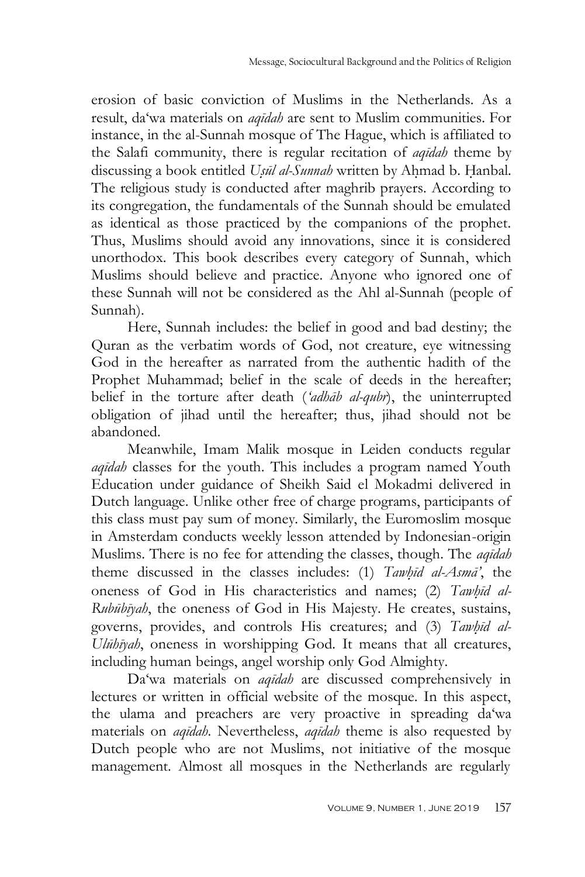erosion of basic conviction of Muslims in the Netherlands. As a result, da"wa materials on *aqīdah* are sent to Muslim communities. For instance, in the al-Sunnah mosque of The Hague, which is affiliated to the Salafi community, there is regular recitation of *aqīdah* theme by discussing a book entitled *Usūl al-Sunnah* written by Ahmad b. Hanbal. The religious study is conducted after maghrib prayers. According to its congregation, the fundamentals of the Sunnah should be emulated as identical as those practiced by the companions of the prophet. Thus, Muslims should avoid any innovations, since it is considered unorthodox. This book describes every category of Sunnah, which Muslims should believe and practice. Anyone who ignored one of these Sunnah will not be considered as the Ahl al-Sunnah (people of Sunnah).

Here, Sunnah includes: the belief in good and bad destiny; the Quran as the verbatim words of God, not creature, eye witnessing God in the hereafter as narrated from the authentic hadith of the Prophet Muhammad; belief in the scale of deeds in the hereafter; belief in the torture after death (*'adhāb al-qubr*), the uninterrupted obligation of jihad until the hereafter; thus, jihad should not be abandoned.

Meanwhile, Imam Malik mosque in Leiden conducts regular *aqīdah* classes for the youth. This includes a program named Youth Education under guidance of Sheikh Said el Mokadmi delivered in Dutch language. Unlike other free of charge programs, participants of this class must pay sum of money. Similarly, the Euromoslim mosque in Amsterdam conducts weekly lesson attended by Indonesian-origin Muslims. There is no fee for attending the classes, though. The *aqīdah* theme discussed in the classes includes: (1) *Tawhīd al-Asmā*<sup>'</sup>, the oneness of God in His characteristics and names; (2) *Tawhid al-Rubūbīyah*, the oneness of God in His Majesty. He creates, sustains, governs, provides, and controls His creatures; and (3) *Tawhid al-Ulūhīyah*, oneness in worshipping God. It means that all creatures, including human beings, angel worship only God Almighty.

Da"wa materials on *aqīdah* are discussed comprehensively in lectures or written in official website of the mosque. In this aspect, the ulama and preachers are very proactive in spreading da'wa materials on *aqīdah*. Nevertheless, *aqīdah* theme is also requested by Dutch people who are not Muslims, not initiative of the mosque management. Almost all mosques in the Netherlands are regularly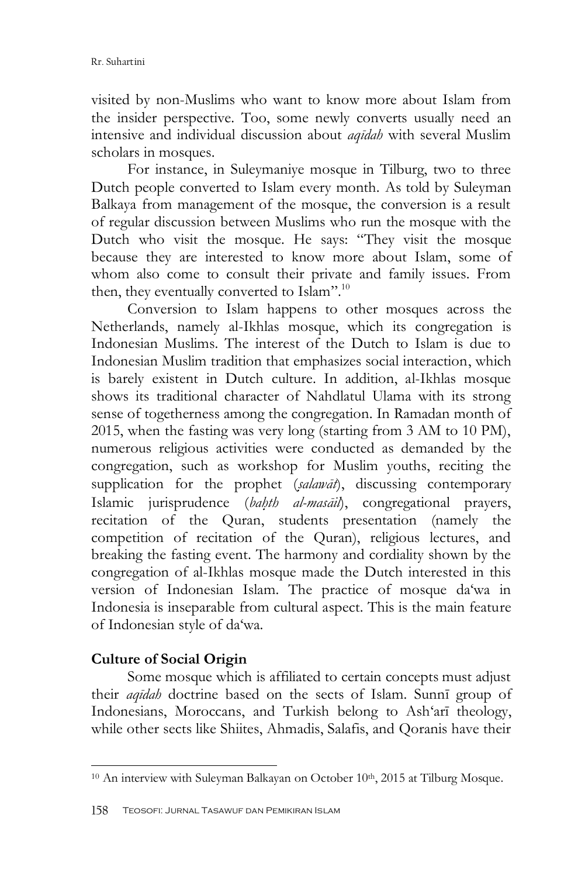visited by non-Muslims who want to know more about Islam from the insider perspective. Too, some newly converts usually need an intensive and individual discussion about *aqīdah* with several Muslim scholars in mosques.

For instance, in Suleymaniye mosque in Tilburg, two to three Dutch people converted to Islam every month. As told by Suleyman Balkaya from management of the mosque, the conversion is a result of regular discussion between Muslims who run the mosque with the Dutch who visit the mosque. He says: "They visit the mosque because they are interested to know more about Islam, some of whom also come to consult their private and family issues. From then, they eventually converted to Islam".<sup>10</sup>

Conversion to Islam happens to other mosques across the Netherlands, namely al-Ikhlas mosque, which its congregation is Indonesian Muslims. The interest of the Dutch to Islam is due to Indonesian Muslim tradition that emphasizes social interaction, which is barely existent in Dutch culture. In addition, al-Ikhlas mosque shows its traditional character of Nahdlatul Ulama with its strong sense of togetherness among the congregation. In Ramadan month of 2015, when the fasting was very long (starting from 3 AM to 10 PM), numerous religious activities were conducted as demanded by the congregation, such as workshop for Muslim youths, reciting the supplication for the prophet (*s*}*alawāt*), discussing contemporary Islamic jurisprudence (*bah*}*th al-masāil*), congregational prayers, recitation of the Quran, students presentation (namely the competition of recitation of the Quran), religious lectures, and breaking the fasting event. The harmony and cordiality shown by the congregation of al-Ikhlas mosque made the Dutch interested in this version of Indonesian Islam. The practice of mosque da'wa in Indonesia is inseparable from cultural aspect. This is the main feature of Indonesian style of da"wa.

## **Culture of Social Origin**

Some mosque which is affiliated to certain concepts must adjust their *aqīdah* doctrine based on the sects of Islam. Sunnī group of Indonesians, Moroccans, and Turkish belong to Ash"arī theology, while other sects like Shiites, Ahmadis, Salafis, and Qoranis have their

<sup>-</sup><sup>10</sup> An interview with Suleyman Balkayan on October 10<sup>th</sup>, 2015 at Tilburg Mosque.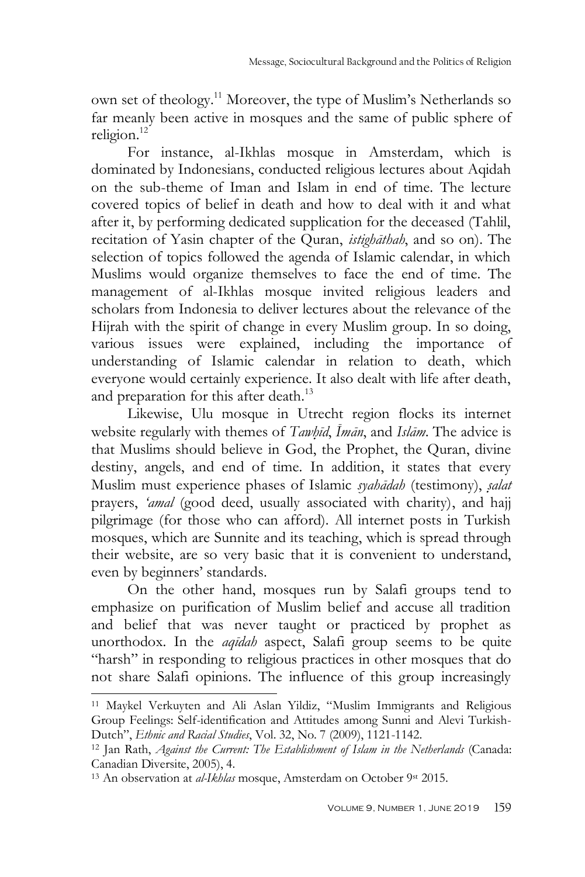own set of theology.<sup>11</sup> Moreover, the type of Muslim"s Netherlands so far meanly been active in mosques and the same of public sphere of religion.<sup>12</sup>

For instance, al-Ikhlas mosque in Amsterdam, which is dominated by Indonesians, conducted religious lectures about Aqidah on the sub-theme of Iman and Islam in end of time. The lecture covered topics of belief in death and how to deal with it and what after it, by performing dedicated supplication for the deceased (Tahlil, recitation of Yasin chapter of the Quran, *istighāthah*, and so on). The selection of topics followed the agenda of Islamic calendar, in which Muslims would organize themselves to face the end of time. The management of al-Ikhlas mosque invited religious leaders and scholars from Indonesia to deliver lectures about the relevance of the Hijrah with the spirit of change in every Muslim group. In so doing, various issues were explained, including the importance of understanding of Islamic calendar in relation to death, which everyone would certainly experience. It also dealt with life after death, and preparation for this after death.<sup>13</sup>

Likewise, Ulu mosque in Utrecht region flocks its internet website regularly with themes of *Tawhīd*, *Imān*, and *Islām*. The advice is that Muslims should believe in God, the Prophet, the Quran, divine destiny, angels, and end of time. In addition, it states that every Muslim must experience phases of Islamic *syahādah* (testimony), *s*}*alat* prayers, *'amal* (good deed, usually associated with charity), and hajj pilgrimage (for those who can afford). All internet posts in Turkish mosques, which are Sunnite and its teaching, which is spread through their website, are so very basic that it is convenient to understand, even by beginners' standards.

On the other hand, mosques run by Salafi groups tend to emphasize on purification of Muslim belief and accuse all tradition and belief that was never taught or practiced by prophet as unorthodox. In the *aqīdah* aspect, Salafi group seems to be quite "harsh" in responding to religious practices in other mosques that do not share Salafi opinions. The influence of this group increasingly

<sup>11</sup> Maykel Verkuyten and Ali Aslan Yildiz, "Muslim Immigrants and Religious Group Feelings: Self-identification and Attitudes among Sunni and Alevi Turkish-Dutch", *Ethnic and Racial Studies*, Vol. 32, No. 7 (2009), 1121-1142.

<sup>12</sup> Jan Rath, *Against the Current: The Establishment of Islam in the Netherlands* (Canada: Canadian Diversite, 2005), 4.

<sup>&</sup>lt;sup>13</sup> An observation at *al-Ikhlas* mosque, Amsterdam on October 9st 2015.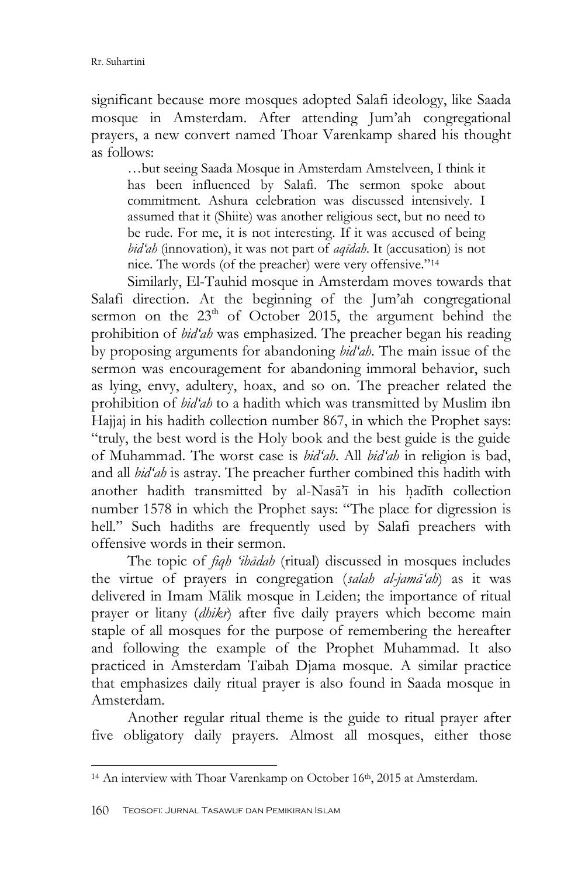significant because more mosques adopted Salafi ideology, like Saada mosque in Amsterdam. After attending Jum"ah congregational prayers, a new convert named Thoar Varenkamp shared his thought as follows:

…but seeing Saada Mosque in Amsterdam Amstelveen, I think it has been influenced by Salafi. The sermon spoke about commitment. Ashura celebration was discussed intensively. I assumed that it (Shiite) was another religious sect, but no need to be rude. For me, it is not interesting. If it was accused of being *bid'ah* (innovation), it was not part of *aqīdah*. It (accusation) is not nice. The words (of the preacher) were very offensive."<sup>14</sup>

Similarly, El-Tauhid mosque in Amsterdam moves towards that Salafi direction. At the beginning of the Jum"ah congregational sermon on the  $23<sup>th</sup>$  of October 2015, the argument behind the prohibition of *bid'ah* was emphasized. The preacher began his reading by proposing arguments for abandoning *bid'ah*. The main issue of the sermon was encouragement for abandoning immoral behavior, such as lying, envy, adultery, hoax, and so on. The preacher related the prohibition of *bid'ah* to a hadith which was transmitted by Muslim ibn Hajjaj in his hadith collection number 867, in which the Prophet says: "truly, the best word is the Holy book and the best guide is the guide of Muhammad. The worst case is *bid'ah*. All *bid'ah* in religion is bad, and all *bid'ah* is astray. The preacher further combined this hadith with another hadith transmitted by al-Nasa<sup>7</sup>i in his hadīth collection number 1578 in which the Prophet says: "The place for digression is hell." Such hadiths are frequently used by Salafi preachers with offensive words in their sermon.

The topic of *fiqh 'ibādah* (ritual) discussed in mosques includes the virtue of prayers in congregation (*salah al-jamā'ah*) as it was delivered in Imam Mālik mosque in Leiden; the importance of ritual prayer or litany (*dhikr*) after five daily prayers which become main staple of all mosques for the purpose of remembering the hereafter and following the example of the Prophet Muhammad. It also practiced in Amsterdam Taibah Djama mosque. A similar practice that emphasizes daily ritual prayer is also found in Saada mosque in Amsterdam.

Another regular ritual theme is the guide to ritual prayer after five obligatory daily prayers. Almost all mosques, either those

<sup>&</sup>lt;sup>14</sup> An interview with Thoar Varenkamp on October 16<sup>th</sup>, 2015 at Amsterdam.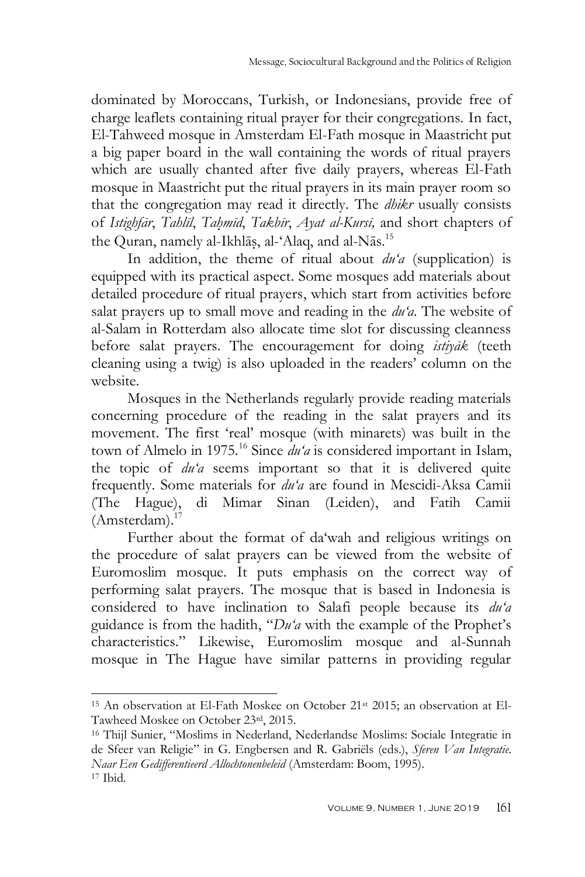dominated by Moroccans, Turkish, or Indonesians, provide free of charge leaflets containing ritual prayer for their congregations. In fact, El-Tahweed mosque in Amsterdam El-Fath mosque in Maastricht put a big paper board in the wall containing the words of ritual prayers which are usually chanted after five daily prayers, whereas El-Fath mosque in Maastricht put the ritual prayers in its main prayer room so that the congregation may read it directly. The *dhikr* usually consists of *Istighfār*, *Tahlīl*, *Tah*}*mīd*, *Takbīr*, *Ayat al-Kursī,* and short chapters of the Quran, namely al-Ikhlāṣ, al-'Alaq, and al-Nās.<sup>15</sup>

In addition, the theme of ritual about *du'a* (supplication) is equipped with its practical aspect. Some mosques add materials about detailed procedure of ritual prayers, which start from activities before salat prayers up to small move and reading in the *du'a*. The website of al-Salam in Rotterdam also allocate time slot for discussing cleanness before salat prayers. The encouragement for doing *istiyāk* (teeth cleaning using a twig) is also uploaded in the readers" column on the website.

Mosques in the Netherlands regularly provide reading materials concerning procedure of the reading in the salat prayers and its movement. The first "real" mosque (with minarets) was built in the town of Almelo in 1975.<sup>16</sup> Since *du'a* is considered important in Islam, the topic of *du'a* seems important so that it is delivered quite frequently. Some materials for *du'a* are found in Mescidi-Aksa Camii (The Hague), di Mimar Sinan (Leiden), and Fatih Camii (Amsterdam).<sup>17</sup>

Further about the format of da'wah and religious writings on the procedure of salat prayers can be viewed from the website of Euromoslim mosque. It puts emphasis on the correct way of performing salat prayers. The mosque that is based in Indonesia is considered to have inclination to Salafi people because its *du'a* guidance is from the hadith, "*Du'a* with the example of the Prophet"s characteristics." Likewise, Euromoslim mosque and al-Sunnah mosque in The Hague have similar patterns in providing regular

<sup>&</sup>lt;sup>15</sup> An observation at El-Fath Moskee on October 21<sup>st</sup> 2015; an observation at El-Tawheed Moskee on October 23rd, 2015.

<sup>16</sup> Thijl Sunier, "Moslims in Nederland, Nederlandse Moslims: Sociale Integratie in de Sfeer van Religie" in G. Engbersen and R. Gabriëls (eds.), *Sferen Van Integratie. Naar Een Gedifferentieerd Allochtonenbeleid* (Amsterdam: Boom, 1995). <sup>17</sup> Ibid*.*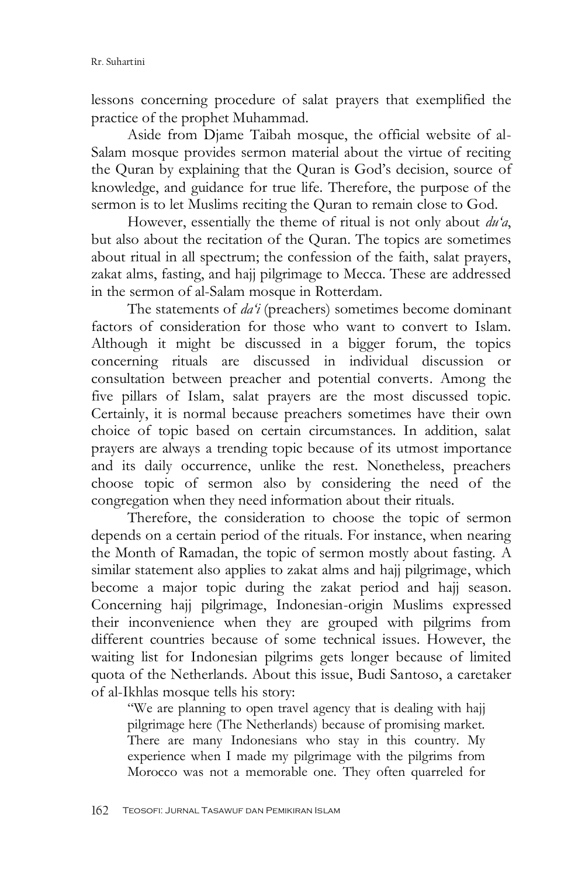lessons concerning procedure of salat prayers that exemplified the practice of the prophet Muhammad.

Aside from Djame Taibah mosque, the official website of al-Salam mosque provides sermon material about the virtue of reciting the Quran by explaining that the Quran is God's decision, source of knowledge, and guidance for true life. Therefore, the purpose of the sermon is to let Muslims reciting the Quran to remain close to God.

However, essentially the theme of ritual is not only about *du'a*, but also about the recitation of the Quran. The topics are sometimes about ritual in all spectrum; the confession of the faith, salat prayers, zakat alms, fasting, and hajj pilgrimage to Mecca. These are addressed in the sermon of al-Salam mosque in Rotterdam.

The statements of *da'i* (preachers) sometimes become dominant factors of consideration for those who want to convert to Islam. Although it might be discussed in a bigger forum, the topics concerning rituals are discussed in individual discussion or consultation between preacher and potential converts. Among the five pillars of Islam, salat prayers are the most discussed topic. Certainly, it is normal because preachers sometimes have their own choice of topic based on certain circumstances. In addition, salat prayers are always a trending topic because of its utmost importance and its daily occurrence, unlike the rest. Nonetheless, preachers choose topic of sermon also by considering the need of the congregation when they need information about their rituals.

Therefore, the consideration to choose the topic of sermon depends on a certain period of the rituals. For instance, when nearing the Month of Ramadan, the topic of sermon mostly about fasting. A similar statement also applies to zakat alms and hajj pilgrimage, which become a major topic during the zakat period and hajj season. Concerning hajj pilgrimage, Indonesian-origin Muslims expressed their inconvenience when they are grouped with pilgrims from different countries because of some technical issues. However, the waiting list for Indonesian pilgrims gets longer because of limited quota of the Netherlands. About this issue, Budi Santoso, a caretaker of al-Ikhlas mosque tells his story:

"We are planning to open travel agency that is dealing with hajj pilgrimage here (The Netherlands) because of promising market. There are many Indonesians who stay in this country. My experience when I made my pilgrimage with the pilgrims from Morocco was not a memorable one. They often quarreled for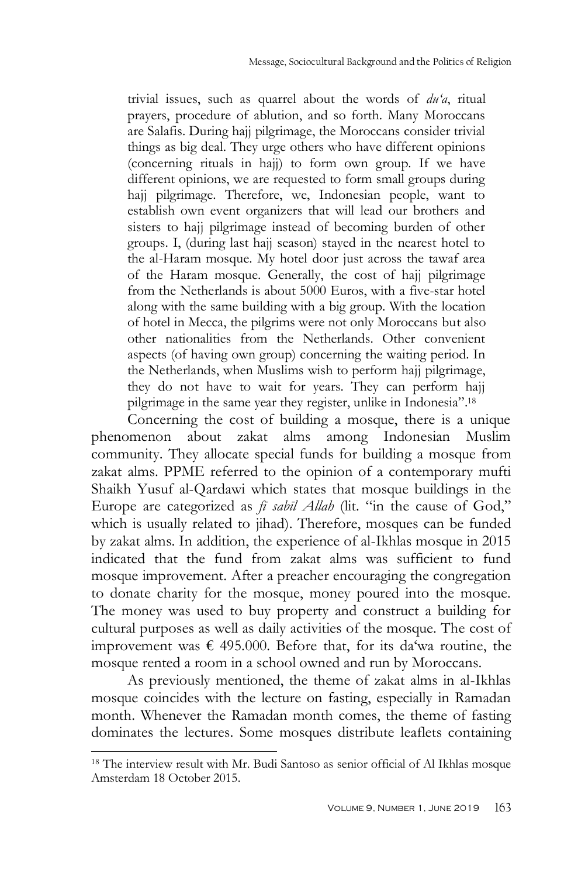trivial issues, such as quarrel about the words of *du'a*, ritual prayers, procedure of ablution, and so forth. Many Moroccans are Salafis. During hajj pilgrimage, the Moroccans consider trivial things as big deal. They urge others who have different opinions (concerning rituals in hajj) to form own group. If we have different opinions, we are requested to form small groups during hajj pilgrimage. Therefore, we, Indonesian people, want to establish own event organizers that will lead our brothers and sisters to hajj pilgrimage instead of becoming burden of other groups. I, (during last hajj season) stayed in the nearest hotel to the al-Haram mosque. My hotel door just across the tawaf area of the Haram mosque. Generally, the cost of hajj pilgrimage from the Netherlands is about 5000 Euros, with a five-star hotel along with the same building with a big group. With the location of hotel in Mecca, the pilgrims were not only Moroccans but also other nationalities from the Netherlands. Other convenient aspects (of having own group) concerning the waiting period. In the Netherlands, when Muslims wish to perform hajj pilgrimage, they do not have to wait for years. They can perform hajj pilgrimage in the same year they register, unlike in Indonesia".<sup>18</sup>

Concerning the cost of building a mosque, there is a unique phenomenon about zakat alms among Indonesian Muslim community. They allocate special funds for building a mosque from zakat alms. PPME referred to the opinion of a contemporary mufti Shaikh Yusuf al-Qardawi which states that mosque buildings in the Europe are categorized as *fī sabīl Allah* (lit. "in the cause of God," which is usually related to jihad). Therefore, mosques can be funded by zakat alms. In addition, the experience of al-Ikhlas mosque in 2015 indicated that the fund from zakat alms was sufficient to fund mosque improvement. After a preacher encouraging the congregation to donate charity for the mosque, money poured into the mosque. The money was used to buy property and construct a building for cultural purposes as well as daily activities of the mosque. The cost of improvement was  $\epsilon$  495.000. Before that, for its da'wa routine, the mosque rented a room in a school owned and run by Moroccans.

As previously mentioned, the theme of zakat alms in al-Ikhlas mosque coincides with the lecture on fasting, especially in Ramadan month. Whenever the Ramadan month comes, the theme of fasting dominates the lectures. Some mosques distribute leaflets containing

<sup>18</sup> The interview result with Mr. Budi Santoso as senior official of Al Ikhlas mosque Amsterdam 18 October 2015.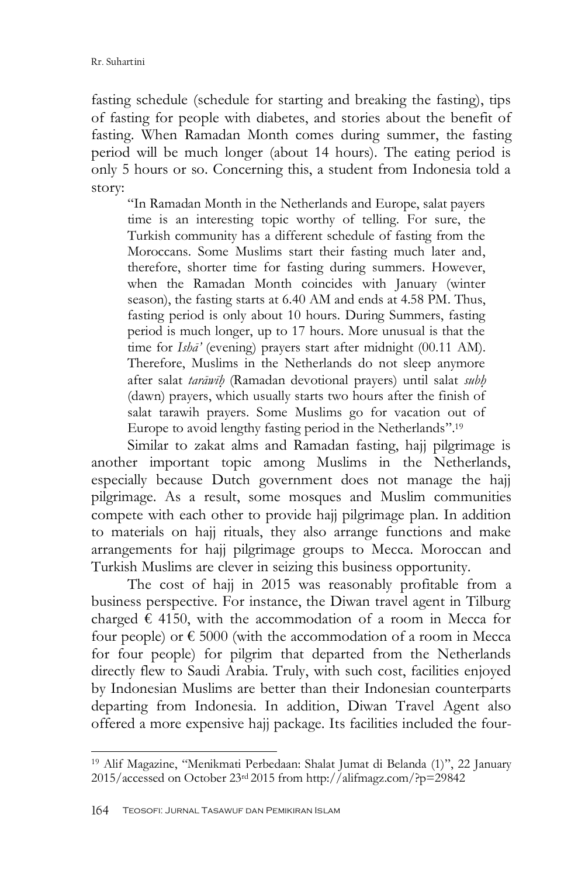fasting schedule (schedule for starting and breaking the fasting), tips of fasting for people with diabetes, and stories about the benefit of fasting. When Ramadan Month comes during summer, the fasting period will be much longer (about 14 hours). The eating period is only 5 hours or so. Concerning this, a student from Indonesia told a story:

"In Ramadan Month in the Netherlands and Europe, salat payers time is an interesting topic worthy of telling. For sure, the Turkish community has a different schedule of fasting from the Moroccans. Some Muslims start their fasting much later and, therefore, shorter time for fasting during summers. However, when the Ramadan Month coincides with January (winter season), the fasting starts at 6.40 AM and ends at 4.58 PM. Thus, fasting period is only about 10 hours. During Summers, fasting period is much longer, up to 17 hours. More unusual is that the time for *Ishā'* (evening) prayers start after midnight (00.11 AM). Therefore, Muslims in the Netherlands do not sleep anymore after salat *tarāwīh*} (Ramadan devotional prayers) until salat *subh*} (dawn) prayers, which usually starts two hours after the finish of salat tarawih prayers. Some Muslims go for vacation out of Europe to avoid lengthy fasting period in the Netherlands".<sup>19</sup>

Similar to zakat alms and Ramadan fasting, hajj pilgrimage is another important topic among Muslims in the Netherlands, especially because Dutch government does not manage the hajj pilgrimage. As a result, some mosques and Muslim communities compete with each other to provide hajj pilgrimage plan. In addition to materials on hajj rituals, they also arrange functions and make arrangements for hajj pilgrimage groups to Mecca. Moroccan and Turkish Muslims are clever in seizing this business opportunity.

The cost of hajj in 2015 was reasonably profitable from a business perspective. For instance, the Diwan travel agent in Tilburg charged  $\epsilon$  4150, with the accommodation of a room in Mecca for four people) or  $\epsilon$  5000 (with the accommodation of a room in Mecca for four people) for pilgrim that departed from the Netherlands directly flew to Saudi Arabia. Truly, with such cost, facilities enjoyed by Indonesian Muslims are better than their Indonesian counterparts departing from Indonesia. In addition, Diwan Travel Agent also offered a more expensive hajj package. Its facilities included the four-

<sup>19</sup> Alif Magazine, "Menikmati Perbedaan: Shalat Jumat di Belanda (1)", 22 January 2015/accessed on October 23rd 2015 from http://alifmagz.com/?p=29842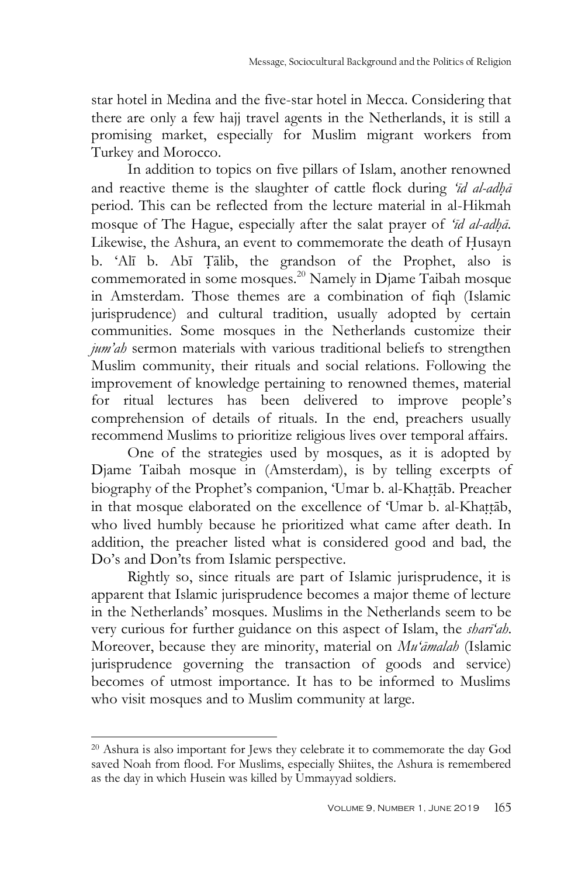star hotel in Medina and the five-star hotel in Mecca. Considering that there are only a few hajj travel agents in the Netherlands, it is still a promising market, especially for Muslim migrant workers from Turkey and Morocco.

In addition to topics on five pillars of Islam, another renowned and reactive theme is the slaughter of cattle flock during *'id al-adha* period. This can be reflected from the lecture material in al-Hikmah mosque of The Hague, especially after the salat prayer of '*īd al-adhā*. Likewise, the Ashura, an event to commemorate the death of Husayn b. "Alī b. Abī T{ālib, the grandson of the Prophet, also is commemorated in some mosques.<sup>20</sup> Namely in Djame Taibah mosque in Amsterdam. Those themes are a combination of fiqh (Islamic jurisprudence) and cultural tradition, usually adopted by certain communities. Some mosques in the Netherlands customize their *jum'ah* sermon materials with various traditional beliefs to strengthen Muslim community, their rituals and social relations. Following the improvement of knowledge pertaining to renowned themes, material for ritual lectures has been delivered to improve people"s comprehension of details of rituals. In the end, preachers usually recommend Muslims to prioritize religious lives over temporal affairs.

One of the strategies used by mosques, as it is adopted by Djame Taibah mosque in (Amsterdam), is by telling excerpts of biography of the Prophet's companion, 'Umar b. al-Khattāb. Preacher in that mosque elaborated on the excellence of 'Umar b. al-Khattāb, who lived humbly because he prioritized what came after death. In addition, the preacher listed what is considered good and bad, the Do"s and Don"ts from Islamic perspective.

Rightly so, since rituals are part of Islamic jurisprudence, it is apparent that Islamic jurisprudence becomes a major theme of lecture in the Netherlands" mosques. Muslims in the Netherlands seem to be very curious for further guidance on this aspect of Islam, the *sharī'ah*. Moreover, because they are minority, material on *Mu'āmalah* (Islamic jurisprudence governing the transaction of goods and service) becomes of utmost importance. It has to be informed to Muslims who visit mosques and to Muslim community at large.

<sup>20</sup> Ashura is also important for Jews they celebrate it to commemorate the day God saved Noah from flood. For Muslims, especially Shiites, the Ashura is remembered as the day in which Husein was killed by Ummayyad soldiers.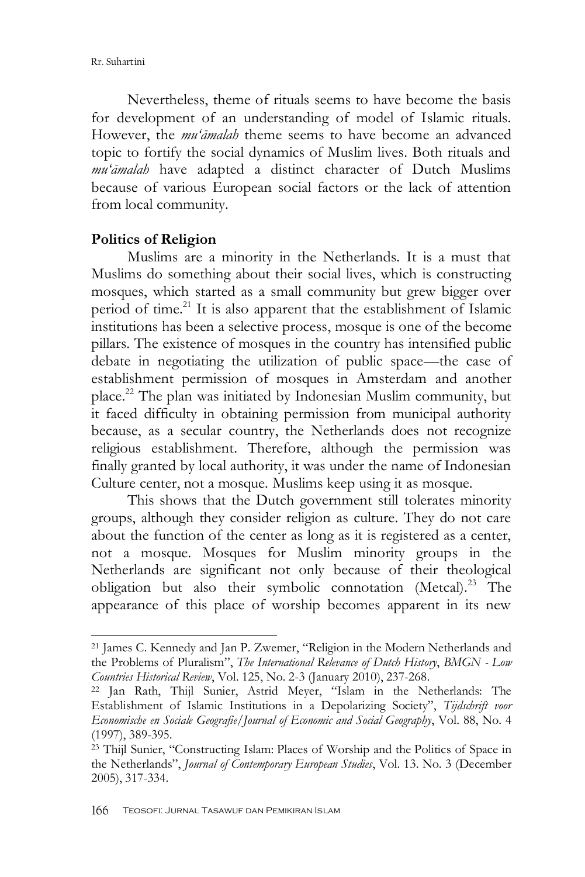-

Nevertheless, theme of rituals seems to have become the basis for development of an understanding of model of Islamic rituals. However, the *mu'āmalah* theme seems to have become an advanced topic to fortify the social dynamics of Muslim lives. Both rituals and *mu'āmalah* have adapted a distinct character of Dutch Muslims because of various European social factors or the lack of attention from local community.

#### **Politics of Religion**

Muslims are a minority in the Netherlands. It is a must that Muslims do something about their social lives, which is constructing mosques, which started as a small community but grew bigger over period of time.<sup>21</sup> It is also apparent that the establishment of Islamic institutions has been a selective process, mosque is one of the become pillars. The existence of mosques in the country has intensified public debate in negotiating the utilization of public space—the case of establishment permission of mosques in Amsterdam and another place. <sup>22</sup> The plan was initiated by Indonesian Muslim community, but it faced difficulty in obtaining permission from municipal authority because, as a secular country, the Netherlands does not recognize religious establishment. Therefore, although the permission was finally granted by local authority, it was under the name of Indonesian Culture center, not a mosque. Muslims keep using it as mosque.

This shows that the Dutch government still tolerates minority groups, although they consider religion as culture. They do not care about the function of the center as long as it is registered as a center, not a mosque. Mosques for Muslim minority groups in the Netherlands are significant not only because of their theological obligation but also their symbolic connotation (Metcal).<sup>23</sup> The appearance of this place of worship becomes apparent in its new

<sup>21</sup> James C. Kennedy and Jan P. Zwemer, "Religion in the Modern Netherlands and the Problems of Pluralism", *The International Relevance of Dutch History*, *BMGN - Low Countries Historical Review*, Vol. 125, No. 2-3 (January 2010), 237-268.

<sup>22</sup> Jan Rath, Thijl Sunier, Astrid Meyer, "Islam in the Netherlands: The Establishment of Islamic Institutions in a Depolarizing Society", *Tijdschrift voor Economische en Sociale Geografie*/*Journal of Economic and Social Geography*, Vol. 88, No. 4 (1997), 389-395.

<sup>23</sup> Thijl Sunier, "Constructing Islam: Places of Worship and the Politics of Space in the Netherlands", *Journal of Contemporary European Studies*, Vol. 13. No. 3 (December 2005), 317-334.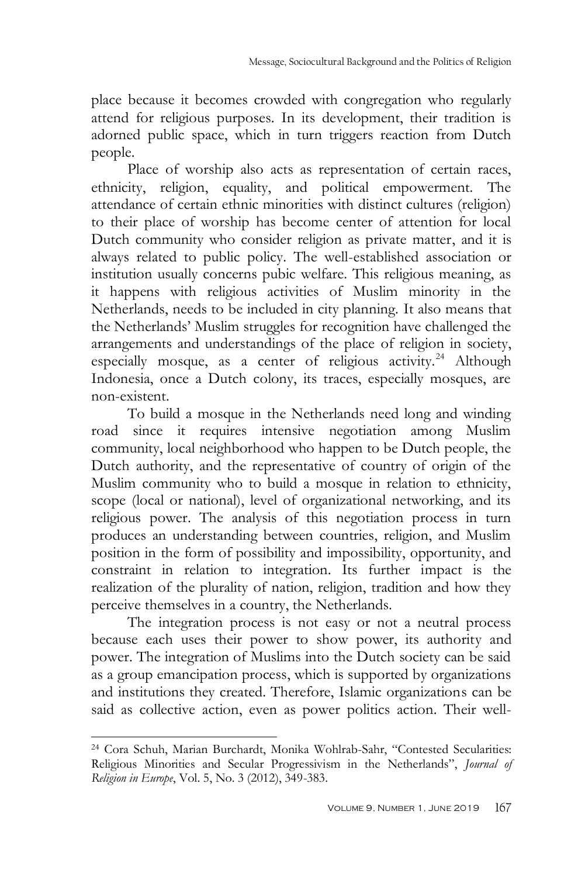place because it becomes crowded with congregation who regularly attend for religious purposes. In its development, their tradition is adorned public space, which in turn triggers reaction from Dutch people.

Place of worship also acts as representation of certain races, ethnicity, religion, equality, and political empowerment. The attendance of certain ethnic minorities with distinct cultures (religion) to their place of worship has become center of attention for local Dutch community who consider religion as private matter, and it is always related to public policy. The well-established association or institution usually concerns pubic welfare. This religious meaning, as it happens with religious activities of Muslim minority in the Netherlands, needs to be included in city planning. It also means that the Netherlands" Muslim struggles for recognition have challenged the arrangements and understandings of the place of religion in society, especially mosque, as a center of religious activity.<sup>24</sup> Although Indonesia, once a Dutch colony, its traces, especially mosques, are non-existent.

To build a mosque in the Netherlands need long and winding road since it requires intensive negotiation among Muslim community, local neighborhood who happen to be Dutch people, the Dutch authority, and the representative of country of origin of the Muslim community who to build a mosque in relation to ethnicity, scope (local or national), level of organizational networking, and its religious power. The analysis of this negotiation process in turn produces an understanding between countries, religion, and Muslim position in the form of possibility and impossibility, opportunity, and constraint in relation to integration. Its further impact is the realization of the plurality of nation, religion, tradition and how they perceive themselves in a country, the Netherlands.

The integration process is not easy or not a neutral process because each uses their power to show power, its authority and power. The integration of Muslims into the Dutch society can be said as a group emancipation process, which is supported by organizations and institutions they created. Therefore, Islamic organizations can be said as collective action, even as power politics action. Their well-

<sup>24</sup> Cora Schuh, Marian Burchardt, Monika Wohlrab-Sahr, "Contested Secularities: Religious Minorities and Secular Progressivism in the Netherlands", *Journal of Religion in Europe*, Vol. 5, No. 3 (2012), 349-383.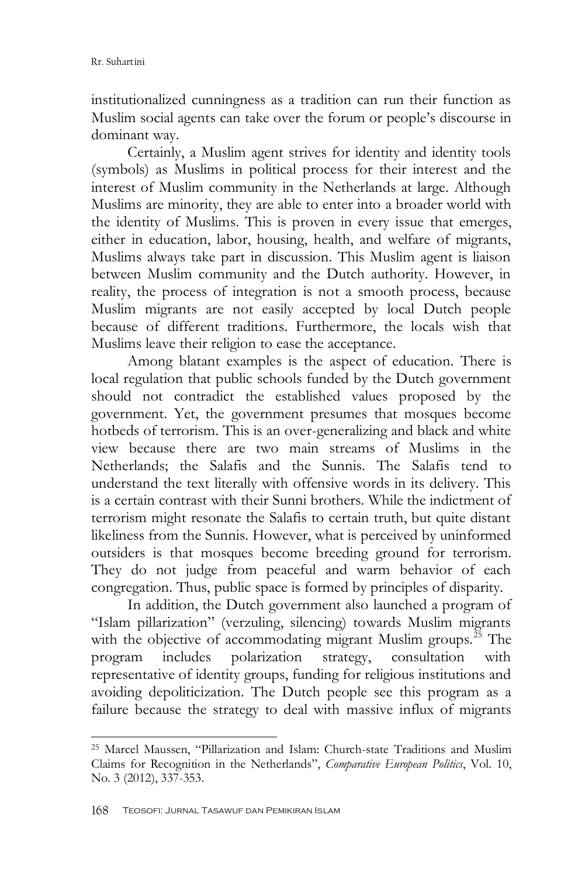institutionalized cunningness as a tradition can run their function as Muslim social agents can take over the forum or people"s discourse in dominant way.

Certainly, a Muslim agent strives for identity and identity tools (symbols) as Muslims in political process for their interest and the interest of Muslim community in the Netherlands at large. Although Muslims are minority, they are able to enter into a broader world with the identity of Muslims. This is proven in every issue that emerges, either in education, labor, housing, health, and welfare of migrants, Muslims always take part in discussion. This Muslim agent is liaison between Muslim community and the Dutch authority. However, in reality, the process of integration is not a smooth process, because Muslim migrants are not easily accepted by local Dutch people because of different traditions. Furthermore, the locals wish that Muslims leave their religion to ease the acceptance.

Among blatant examples is the aspect of education. There is local regulation that public schools funded by the Dutch government should not contradict the established values proposed by the government. Yet, the government presumes that mosques become hotbeds of terrorism. This is an over-generalizing and black and white view because there are two main streams of Muslims in the Netherlands; the Salafis and the Sunnis. The Salafis tend to understand the text literally with offensive words in its delivery. This is a certain contrast with their Sunni brothers. While the indictment of terrorism might resonate the Salafis to certain truth, but quite distant likeliness from the Sunnis. However, what is perceived by uninformed outsiders is that mosques become breeding ground for terrorism. They do not judge from peaceful and warm behavior of each congregation. Thus, public space is formed by principles of disparity.

In addition, the Dutch government also launched a program of "Islam pillarization" (verzuling, silencing) towards Muslim migrants with the objective of accommodating migrant Muslim groups.<sup>25</sup> The program includes polarization strategy, consultation with representative of identity groups, funding for religious institutions and avoiding depoliticization. The Dutch people see this program as a failure because the strategy to deal with massive influx of migrants

<sup>25</sup> Marcel Maussen, "Pillarization and Islam: Church-state Traditions and Muslim Claims for Recognition in the Netherlands", *Comparative European Politics*, Vol. 10, No. 3 (2012), 337-353.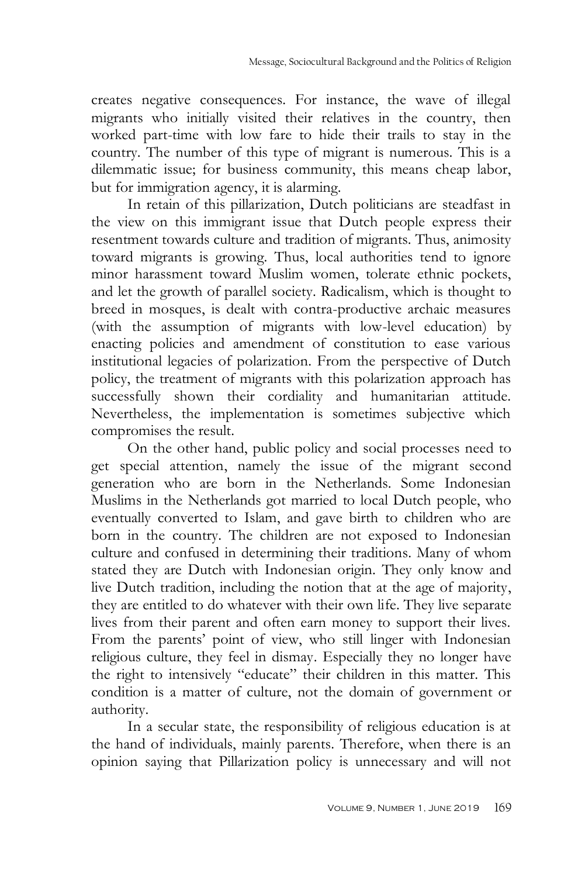creates negative consequences. For instance, the wave of illegal migrants who initially visited their relatives in the country, then worked part-time with low fare to hide their trails to stay in the country. The number of this type of migrant is numerous. This is a dilemmatic issue; for business community, this means cheap labor, but for immigration agency, it is alarming.

In retain of this pillarization, Dutch politicians are steadfast in the view on this immigrant issue that Dutch people express their resentment towards culture and tradition of migrants. Thus, animosity toward migrants is growing. Thus, local authorities tend to ignore minor harassment toward Muslim women, tolerate ethnic pockets, and let the growth of parallel society. Radicalism, which is thought to breed in mosques, is dealt with contra-productive archaic measures (with the assumption of migrants with low-level education) by enacting policies and amendment of constitution to ease various institutional legacies of polarization. From the perspective of Dutch policy, the treatment of migrants with this polarization approach has successfully shown their cordiality and humanitarian attitude. Nevertheless, the implementation is sometimes subjective which compromises the result.

On the other hand, public policy and social processes need to get special attention, namely the issue of the migrant second generation who are born in the Netherlands. Some Indonesian Muslims in the Netherlands got married to local Dutch people, who eventually converted to Islam, and gave birth to children who are born in the country. The children are not exposed to Indonesian culture and confused in determining their traditions. Many of whom stated they are Dutch with Indonesian origin. They only know and live Dutch tradition, including the notion that at the age of majority, they are entitled to do whatever with their own life. They live separate lives from their parent and often earn money to support their lives. From the parents' point of view, who still linger with Indonesian religious culture, they feel in dismay. Especially they no longer have the right to intensively "educate" their children in this matter. This condition is a matter of culture, not the domain of government or authority.

In a secular state, the responsibility of religious education is at the hand of individuals, mainly parents. Therefore, when there is an opinion saying that Pillarization policy is unnecessary and will not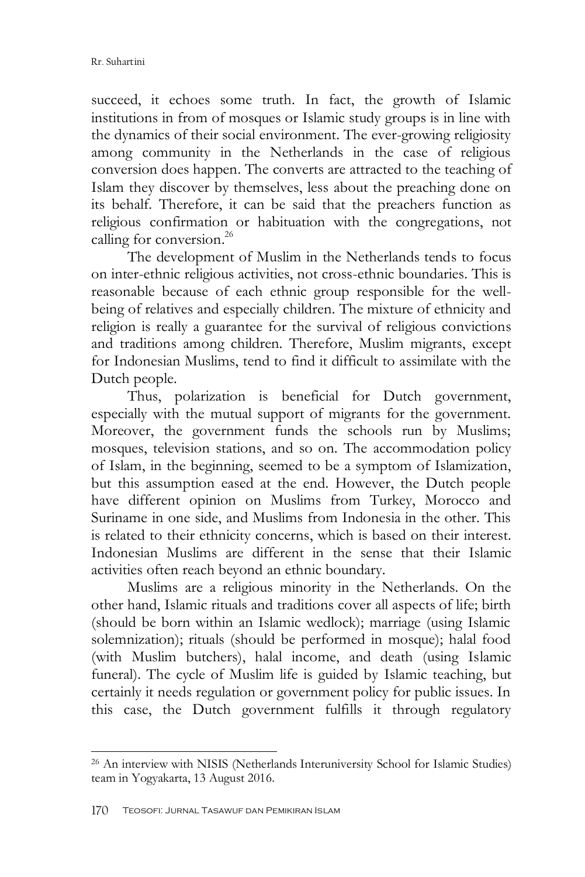succeed, it echoes some truth. In fact, the growth of Islamic institutions in from of mosques or Islamic study groups is in line with the dynamics of their social environment. The ever-growing religiosity among community in the Netherlands in the case of religious conversion does happen. The converts are attracted to the teaching of Islam they discover by themselves, less about the preaching done on its behalf. Therefore, it can be said that the preachers function as religious confirmation or habituation with the congregations, not calling for conversion. 26

The development of Muslim in the Netherlands tends to focus on inter-ethnic religious activities, not cross-ethnic boundaries. This is reasonable because of each ethnic group responsible for the wellbeing of relatives and especially children. The mixture of ethnicity and religion is really a guarantee for the survival of religious convictions and traditions among children. Therefore, Muslim migrants, except for Indonesian Muslims, tend to find it difficult to assimilate with the Dutch people.

Thus, polarization is beneficial for Dutch government, especially with the mutual support of migrants for the government. Moreover, the government funds the schools run by Muslims; mosques, television stations, and so on. The accommodation policy of Islam, in the beginning, seemed to be a symptom of Islamization, but this assumption eased at the end. However, the Dutch people have different opinion on Muslims from Turkey, Morocco and Suriname in one side, and Muslims from Indonesia in the other. This is related to their ethnicity concerns, which is based on their interest. Indonesian Muslims are different in the sense that their Islamic activities often reach beyond an ethnic boundary.

Muslims are a religious minority in the Netherlands. On the other hand, Islamic rituals and traditions cover all aspects of life; birth (should be born within an Islamic wedlock); marriage (using Islamic solemnization); rituals (should be performed in mosque); halal food (with Muslim butchers), halal income, and death (using Islamic funeral). The cycle of Muslim life is guided by Islamic teaching, but certainly it needs regulation or government policy for public issues. In this case, the Dutch government fulfills it through regulatory

<sup>26</sup> An interview with NISIS (Netherlands [Interuniversity](https://nisis.sites.uu.nl/about/nisis/) School for Islamic Studies) team in Yogyakarta, 13 August 2016.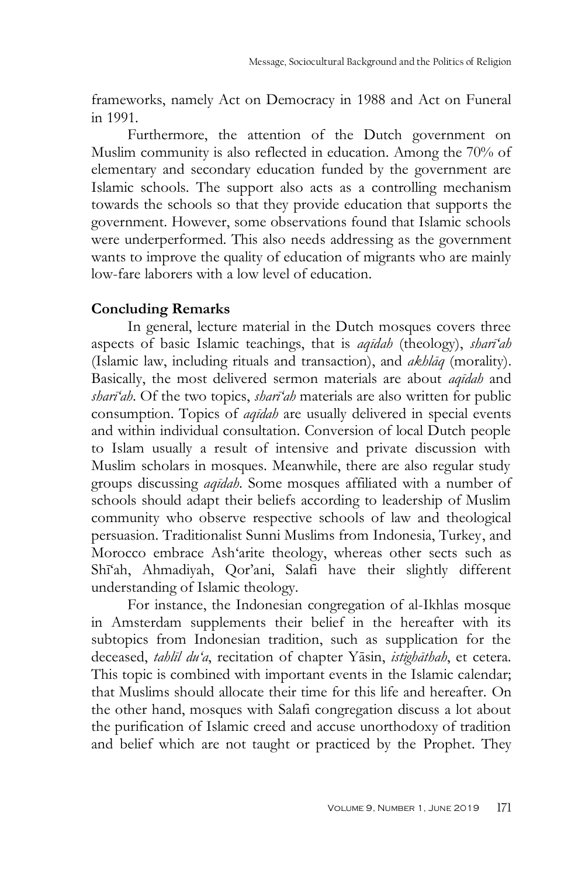frameworks, namely Act on Democracy in 1988 and Act on Funeral in 1991.

Furthermore, the attention of the Dutch government on Muslim community is also reflected in education. Among the 70% of elementary and secondary education funded by the government are Islamic schools. The support also acts as a controlling mechanism towards the schools so that they provide education that supports the government. However, some observations found that Islamic schools were underperformed. This also needs addressing as the government wants to improve the quality of education of migrants who are mainly low-fare laborers with a low level of education.

### **Concluding Remarks**

In general, lecture material in the Dutch mosques covers three aspects of basic Islamic teachings, that is *aqīdah* (theology), *sharī'ah* (Islamic law, including rituals and transaction), and *akhlāq* (morality). Basically, the most delivered sermon materials are about *aqīdah* and *sharī'ah*. Of the two topics, *sharī'ah* materials are also written for public consumption. Topics of *aqīdah* are usually delivered in special events and within individual consultation. Conversion of local Dutch people to Islam usually a result of intensive and private discussion with Muslim scholars in mosques. Meanwhile, there are also regular study groups discussing *aqīdah*. Some mosques affiliated with a number of schools should adapt their beliefs according to leadership of Muslim community who observe respective schools of law and theological persuasion. Traditionalist Sunni Muslims from Indonesia, Turkey, and Morocco embrace Ash"arite theology, whereas other sects such as Shī"ah, Ahmadiyah, Qor"ani, Salafi have their slightly different understanding of Islamic theology.

For instance, the Indonesian congregation of al-Ikhlas mosque in Amsterdam supplements their belief in the hereafter with its subtopics from Indonesian tradition, such as supplication for the deceased, *tahlīl du'a*, recitation of chapter Yāsin, *istighāthah*, et cetera. This topic is combined with important events in the Islamic calendar; that Muslims should allocate their time for this life and hereafter. On the other hand, mosques with Salafi congregation discuss a lot about the purification of Islamic creed and accuse unorthodoxy of tradition and belief which are not taught or practiced by the Prophet. They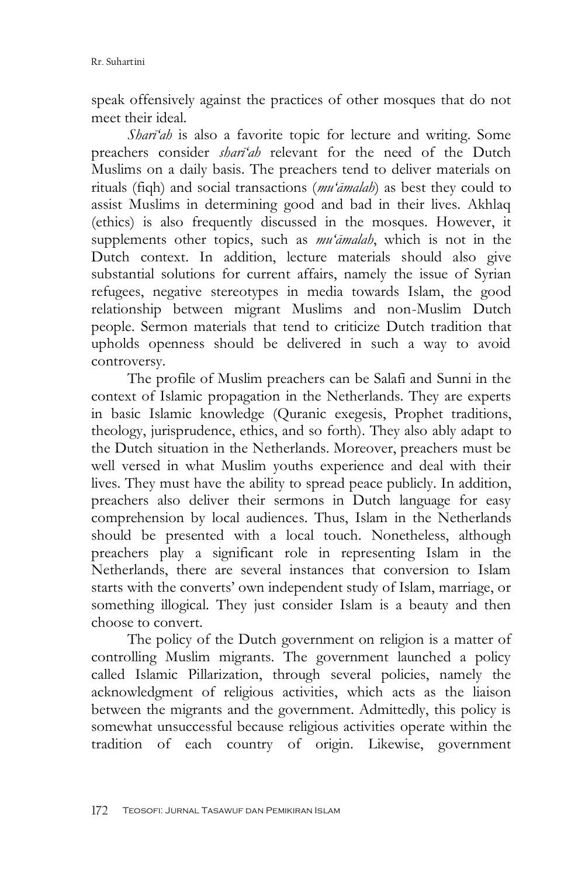speak offensively against the practices of other mosques that do not meet their ideal.

*Sharī'ah* is also a favorite topic for lecture and writing. Some preachers consider *sharī'ah* relevant for the need of the Dutch Muslims on a daily basis. The preachers tend to deliver materials on rituals (fiqh) and social transactions (*mu'āmalah*) as best they could to assist Muslims in determining good and bad in their lives. Akhlaq (ethics) is also frequently discussed in the mosques. However, it supplements other topics, such as *mu'āmalah*, which is not in the Dutch context. In addition, lecture materials should also give substantial solutions for current affairs, namely the issue of Syrian refugees, negative stereotypes in media towards Islam, the good relationship between migrant Muslims and non-Muslim Dutch people. Sermon materials that tend to criticize Dutch tradition that upholds openness should be delivered in such a way to avoid controversy.

The profile of Muslim preachers can be Salafi and Sunni in the context of Islamic propagation in the Netherlands. They are experts in basic Islamic knowledge (Quranic exegesis, Prophet traditions, theology, jurisprudence, ethics, and so forth). They also ably adapt to the Dutch situation in the Netherlands. Moreover, preachers must be well versed in what Muslim youths experience and deal with their lives. They must have the ability to spread peace publicly. In addition, preachers also deliver their sermons in Dutch language for easy comprehension by local audiences. Thus, Islam in the Netherlands should be presented with a local touch. Nonetheless, although preachers play a significant role in representing Islam in the Netherlands, there are several instances that conversion to Islam starts with the converts" own independent study of Islam, marriage, or something illogical. They just consider Islam is a beauty and then choose to convert.

The policy of the Dutch government on religion is a matter of controlling Muslim migrants. The government launched a policy called Islamic Pillarization, through several policies, namely the acknowledgment of religious activities, which acts as the liaison between the migrants and the government. Admittedly, this policy is somewhat unsuccessful because religious activities operate within the tradition of each country of origin. Likewise, government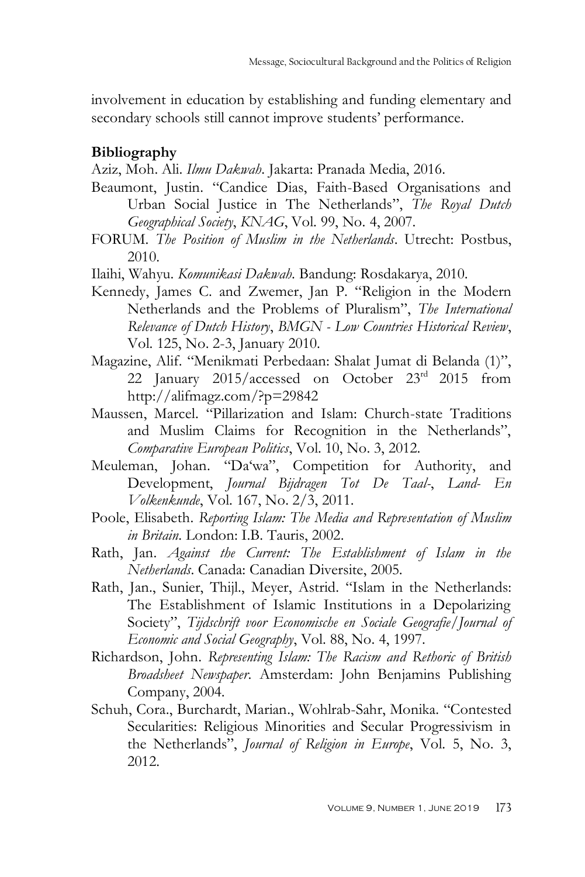involvement in education by establishing and funding elementary and secondary schools still cannot improve students' performance.

# **Bibliography**

Aziz, Moh. Ali. *Ilmu Dakwah*. Jakarta: Pranada Media, 2016.

- Beaumont, Justin. "Candice Dias, Faith-Based Organisations and Urban Social Justice in The Netherlands", *The Royal Dutch Geographical Society*, *KNAG*, Vol. 99, No. 4, 2007.
- FORUM. *The Position of Muslim in the Netherlands*. Utrecht: Postbus, 2010.
- Ilaihi, Wahyu. *Komunikasi Dakwah*. Bandung: Rosdakarya, 2010.
- Kennedy, James C. and Zwemer, Jan P. "Religion in the Modern Netherlands and the Problems of Pluralism", *The International Relevance of Dutch History*, *BMGN - Low Countries Historical Review*, Vol. 125, No. 2-3, January 2010.
- Magazine, Alif. "Menikmati Perbedaan: Shalat Jumat di Belanda (1)", 22 January 2015/accessed on October 23<sup>rd</sup> 2015 from http://alifmagz.com/?p=29842
- Maussen, Marcel. "Pillarization and Islam: Church-state Traditions and Muslim Claims for Recognition in the Netherlands", *Comparative European Politics*, Vol. 10, No. 3, 2012.
- Meuleman, Johan. "Da"wa", Competition for Authority, and Development, *Journal Bijdragen Tot De Taal-*, *Land- En Volkenkunde*, Vol. 167, No. 2/3, 2011.
- Poole, Elisabeth. *Reporting Islam: The Media and Representation of Muslim in Britain*. London: I.B. Tauris, 2002.
- Rath, Jan. *Against the Current: The Establishment of Islam in the Netherlands*. Canada: Canadian Diversite, 2005.
- Rath, Jan., Sunier, Thijl., Meyer, Astrid. "Islam in the Netherlands: The Establishment of Islamic Institutions in a Depolarizing Society", *Tijdschrift voor Economische en Sociale Geografie*/*Journal of Economic and Social Geography*, Vol. 88, No. 4, 1997.
- Richardson, John. *Representing Islam: The Racism and Rethoric of British Broadsheet Newspaper*. Amsterdam: John Benjamins Publishing Company, 2004.
- Schuh, Cora., Burchardt, Marian., Wohlrab-Sahr, Monika. "Contested Secularities: Religious Minorities and Secular Progressivism in the Netherlands", *Journal of Religion in Europe*, Vol. 5, No. 3, 2012.